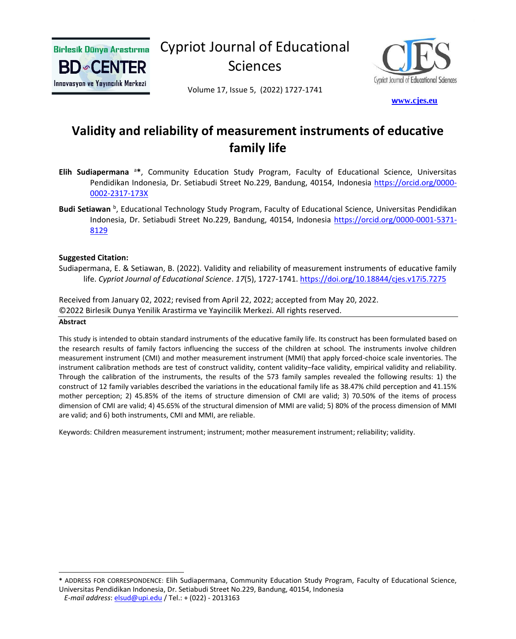

Cypriot Journal of Educational Sciences



Volume 17, Issue 5, (2022) 1727-1741

 **[w](http://www.cjes.eu/)[ww.cjes.eu](http://www.cjes.eu/)**

## **Validity and reliability of measurement instruments of educative family life**

- **Elih Sudiapermana** <sup>a</sup>**\***, Community Education Study Program, Faculty of Educational Science, Universitas Pendidikan Indonesia, Dr. Setiabudi Street No.229, Bandung, 40154, Indonesia [https://orcid.org/0000-](https://orcid.org/0000-0002-2317-173X) [0002-2317-173X](https://orcid.org/0000-0002-2317-173X)
- Budi Setiawan <sup>b</sup>, Educational Technology Study Program, Faculty of Educational Science, Universitas Pendidikan Indonesia, Dr. Setiabudi Street No.229, Bandung, 40154, Indonesia [https://orcid.org/0000-0001-5371-](https://orcid.org/0000-0001-5371-8129) [8129](https://orcid.org/0000-0001-5371-8129)

#### **Suggested Citation:**

Sudiapermana, E. & Setiawan, B. (2022). Validity and reliability of measurement instruments of educative family life. *Cypriot Journal of Educational Science*. *17*(5), 1727-1741. <https://doi.org/10.18844/cjes.v17i5.7275>

Received from January 02, 2022; revised from April 22, 2022; accepted from May 20, 2022. ©2022 Birlesik Dunya Yenilik Arastirma ve Yayincilik Merkezi. All rights reserved.

#### **Abstract**

This study is intended to obtain standard instruments of the educative family life. Its construct has been formulated based on the research results of family factors influencing the success of the children at school. The instruments involve children measurement instrument (CMI) and mother measurement instrument (MMI) that apply forced-choice scale inventories. The instrument calibration methods are test of construct validity, content validity–face validity, empirical validity and reliability. Through the calibration of the instruments, the results of the 573 family samples revealed the following results: 1) the construct of 12 family variables described the variations in the educational family life as 38.47% child perception and 41.15% mother perception; 2) 45.85% of the items of structure dimension of CMI are valid; 3) 70.50% of the items of process dimension of CMI are valid; 4) 45.65% of the structural dimension of MMI are valid; 5) 80% of the process dimension of MMI are valid; and 6) both instruments, CMI and MMI, are reliable.

Keywords: Children measurement instrument; instrument; mother measurement instrument; reliability; validity.

**<sup>\*</sup>** ADDRESS FOR CORRESPONDENCE: Elih Sudiapermana, Community Education Study Program, Faculty of Educational Science, Universitas Pendidikan Indonesia, Dr. Setiabudi Street No.229, Bandung, 40154, Indonesia

*E-mail address*: [elsud@upi.edu](mailto:elsud@upi.edu) / Tel.: + (022) - 2013163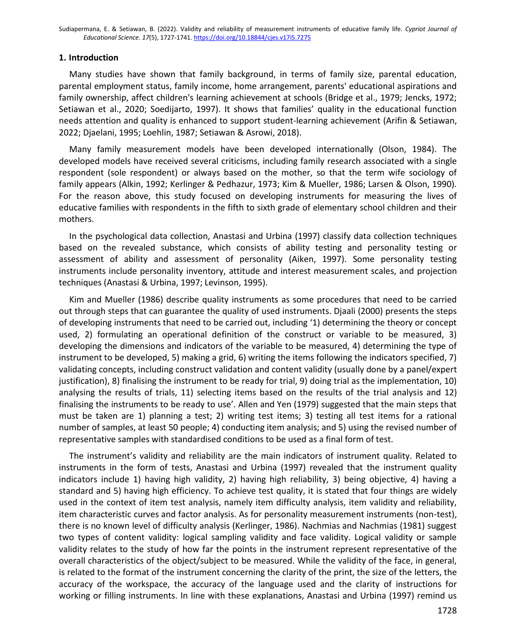#### **1. Introduction**

Many studies have shown that family background, in terms of family size, parental education, parental employment status, family income, home arrangement, parents' educational aspirations and family ownership, affect children's learning achievement at schools (Bridge et al., 1979; Jencks, 1972; Setiawan et al., 2020; Soedijarto, 1997). It shows that families' quality in the educational function needs attention and quality is enhanced to support student-learning achievement (Arifin & Setiawan, 2022; Djaelani, 1995; Loehlin, 1987; Setiawan & Asrowi, 2018).

Many family measurement models have been developed internationally (Olson, 1984). The developed models have received several criticisms, including family research associated with a single respondent (sole respondent) or always based on the mother, so that the term wife sociology of family appears (Alkin, 1992; Kerlinger & Pedhazur, 1973; Kim & Mueller, 1986; Larsen & Olson, 1990). For the reason above, this study focused on developing instruments for measuring the lives of educative families with respondents in the fifth to sixth grade of elementary school children and their mothers.

In the psychological data collection, Anastasi and Urbina (1997) classify data collection techniques based on the revealed substance, which consists of ability testing and personality testing or assessment of ability and assessment of personality (Aiken, 1997). Some personality testing instruments include personality inventory, attitude and interest measurement scales, and projection techniques (Anastasi & Urbina, 1997; Levinson, 1995).

Kim and Mueller (1986) describe quality instruments as some procedures that need to be carried out through steps that can guarantee the quality of used instruments. Djaali (2000) presents the steps of developing instruments that need to be carried out, including '1) determining the theory or concept used, 2) formulating an operational definition of the construct or variable to be measured, 3) developing the dimensions and indicators of the variable to be measured, 4) determining the type of instrument to be developed, 5) making a grid, 6) writing the items following the indicators specified, 7) validating concepts, including construct validation and content validity (usually done by a panel/expert justification), 8) finalising the instrument to be ready for trial, 9) doing trial as the implementation, 10) analysing the results of trials, 11) selecting items based on the results of the trial analysis and 12) finalising the instruments to be ready to use'. Allen and Yen (1979) suggested that the main steps that must be taken are 1) planning a test; 2) writing test items; 3) testing all test items for a rational number of samples, at least 50 people; 4) conducting item analysis; and 5) using the revised number of representative samples with standardised conditions to be used as a final form of test.

The instrument's validity and reliability are the main indicators of instrument quality. Related to instruments in the form of tests, Anastasi and Urbina (1997) revealed that the instrument quality indicators include 1) having high validity, 2) having high reliability, 3) being objective, 4) having a standard and 5) having high efficiency. To achieve test quality, it is stated that four things are widely used in the context of item test analysis, namely item difficulty analysis, item validity and reliability, item characteristic curves and factor analysis. As for personality measurement instruments (non-test), there is no known level of difficulty analysis (Kerlinger, 1986). Nachmias and Nachmias (1981) suggest two types of content validity: logical sampling validity and face validity. Logical validity or sample validity relates to the study of how far the points in the instrument represent representative of the overall characteristics of the object/subject to be measured. While the validity of the face, in general, is related to the format of the instrument concerning the clarity of the print, the size of the letters, the accuracy of the workspace, the accuracy of the language used and the clarity of instructions for working or filling instruments. In line with these explanations, Anastasi and Urbina (1997) remind us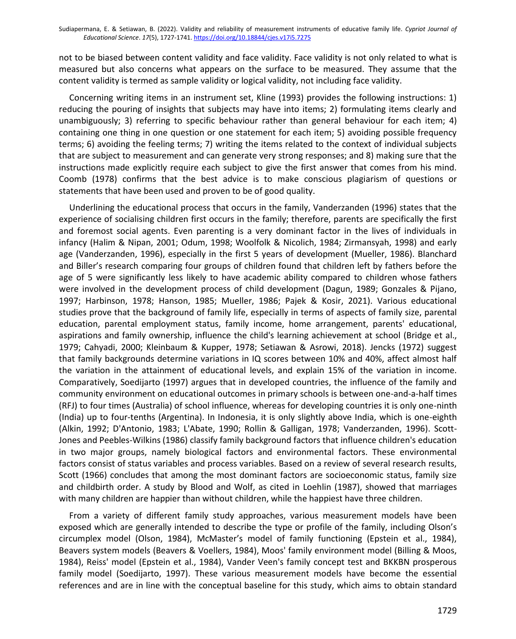not to be biased between content validity and face validity. Face validity is not only related to what is measured but also concerns what appears on the surface to be measured. They assume that the content validity is termed as sample validity or logical validity, not including face validity.

Concerning writing items in an instrument set, Kline (1993) provides the following instructions: 1) reducing the pouring of insights that subjects may have into items; 2) formulating items clearly and unambiguously; 3) referring to specific behaviour rather than general behaviour for each item; 4) containing one thing in one question or one statement for each item; 5) avoiding possible frequency terms; 6) avoiding the feeling terms; 7) writing the items related to the context of individual subjects that are subject to measurement and can generate very strong responses; and 8) making sure that the instructions made explicitly require each subject to give the first answer that comes from his mind. Coomb (1978) confirms that the best advice is to make conscious plagiarism of questions or statements that have been used and proven to be of good quality.

Underlining the educational process that occurs in the family, Vanderzanden (1996) states that the experience of socialising children first occurs in the family; therefore, parents are specifically the first and foremost social agents. Even parenting is a very dominant factor in the lives of individuals in infancy (Halim & Nipan, 2001; Odum, 1998; Woolfolk & Nicolich, 1984; Zirmansyah, 1998) and early age (Vanderzanden, 1996), especially in the first 5 years of development (Mueller, 1986). Blanchard and Biller's research comparing four groups of children found that children left by fathers before the age of 5 were significantly less likely to have academic ability compared to children whose fathers were involved in the development process of child development (Dagun, 1989; Gonzales & Pijano, 1997; Harbinson, 1978; Hanson, 1985; Mueller, 1986; Pajek & Kosir, 2021). Various educational studies prove that the background of family life, especially in terms of aspects of family size, parental education, parental employment status, family income, home arrangement, parents' educational, aspirations and family ownership, influence the child's learning achievement at school (Bridge et al., 1979; Cahyadi, 2000; Kleinbaum & Kupper, 1978; Setiawan & Asrowi, 2018). Jencks (1972) suggest that family backgrounds determine variations in IQ scores between 10% and 40%, affect almost half the variation in the attainment of educational levels, and explain 15% of the variation in income. Comparatively, Soedijarto (1997) argues that in developed countries, the influence of the family and community environment on educational outcomes in primary schools is between one-and-a-half times (RFJ) to four times (Australia) of school influence, whereas for developing countries it is only one-ninth (India) up to four-tenths (Argentina). In Indonesia, it is only slightly above India, which is one-eighth (Alkin, 1992; D'Antonio, 1983; L'Abate, 1990; Rollin & Galligan, 1978; Vanderzanden, 1996). Scott-Jones and Peebles-Wilkins (1986) classify family background factors that influence children's education in two major groups, namely biological factors and environmental factors. These environmental factors consist of status variables and process variables. Based on a review of several research results, Scott (1966) concludes that among the most dominant factors are socioeconomic status, family size and childbirth order. A study by Blood and Wolf, as cited in Loehlin (1987), showed that marriages with many children are happier than without children, while the happiest have three children.

From a variety of different family study approaches, various measurement models have been exposed which are generally intended to describe the type or profile of the family, including Olson's circumplex model (Olson, 1984), McMaster's model of family functioning (Epstein et al., 1984), Beavers system models (Beavers & Voellers, 1984), Moos' family environment model (Billing & Moos, 1984), Reiss' model (Epstein et al., 1984), Vander Veen's family concept test and BKKBN prosperous family model (Soedijarto, 1997). These various measurement models have become the essential references and are in line with the conceptual baseline for this study, which aims to obtain standard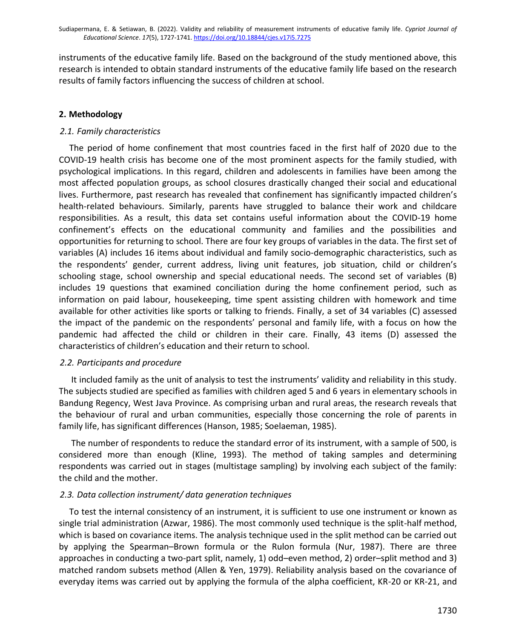instruments of the educative family life. Based on the background of the study mentioned above, this research is intended to obtain standard instruments of the educative family life based on the research results of family factors influencing the success of children at school.

## **2. Methodology**

## *2.1. Family characteristics*

The period of home confinement that most countries faced in the first half of 2020 due to the COVID-19 health crisis has become one of the most prominent aspects for the family studied, with psychological implications. In this regard, children and adolescents in families have been among the most affected population groups, as school closures drastically changed their social and educational lives. Furthermore, past research has revealed that confinement has significantly impacted children's health-related behaviours. Similarly, parents have struggled to balance their work and childcare responsibilities. As a result, this data set contains useful information about the COVID-19 home confinement's effects on the educational community and families and the possibilities and opportunities for returning to school. There are four key groups of variables in the data. The first set of variables (A) includes 16 items about individual and family socio-demographic characteristics, such as the respondents' gender, current address, living unit features, job situation, child or children's schooling stage, school ownership and special educational needs. The second set of variables (B) includes 19 questions that examined conciliation during the home confinement period, such as information on paid labour, housekeeping, time spent assisting children with homework and time available for other activities like sports or talking to friends. Finally, a set of 34 variables (C) assessed the impact of the pandemic on the respondents' personal and family life, with a focus on how the pandemic had affected the child or children in their care. Finally, 43 items (D) assessed the characteristics of children's education and their return to school.

## *2.2. Participants and procedure*

It included family as the unit of analysis to test the instruments' validity and reliability in this study. The subjects studied are specified as families with children aged 5 and 6 years in elementary schools in Bandung Regency, West Java Province. As comprising urban and rural areas, the research reveals that the behaviour of rural and urban communities, especially those concerning the role of parents in family life, has significant differences (Hanson, 1985; Soelaeman, 1985).

The number of respondents to reduce the standard error of its instrument, with a sample of 500, is considered more than enough (Kline, 1993). The method of taking samples and determining respondents was carried out in stages (multistage sampling) by involving each subject of the family: the child and the mother.

## *2.3. Data collection instrument/ data generation techniques*

To test the internal consistency of an instrument, it is sufficient to use one instrument or known as single trial administration (Azwar, 1986). The most commonly used technique is the split-half method, which is based on covariance items. The analysis technique used in the split method can be carried out by applying the Spearman–Brown formula or the Rulon formula (Nur, 1987). There are three approaches in conducting a two-part split, namely, 1) odd–even method, 2) order–split method and 3) matched random subsets method (Allen & Yen, 1979). Reliability analysis based on the covariance of everyday items was carried out by applying the formula of the alpha coefficient, KR-20 or KR-21, and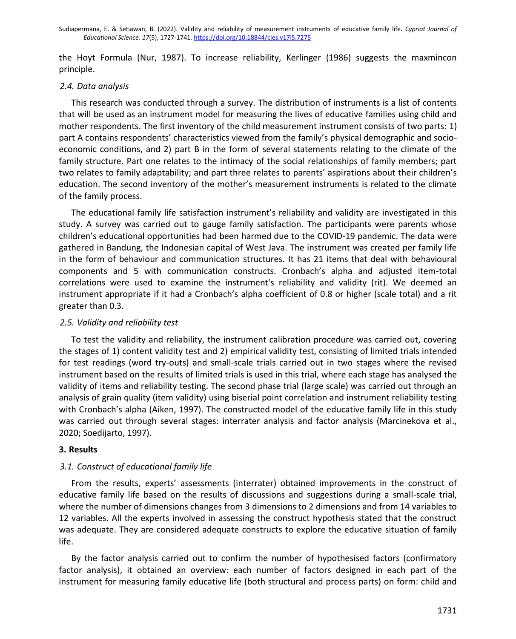the Hoyt Formula (Nur, 1987). To increase reliability, Kerlinger (1986) suggests the maxmincon principle.

## *2.4. Data analysis*

This research was conducted through a survey. The distribution of instruments is a list of contents that will be used as an instrument model for measuring the lives of educative families using child and mother respondents. The first inventory of the child measurement instrument consists of two parts: 1) part A contains respondents' characteristics viewed from the family's physical demographic and socioeconomic conditions, and 2) part B in the form of several statements relating to the climate of the family structure. Part one relates to the intimacy of the social relationships of family members; part two relates to family adaptability; and part three relates to parents' aspirations about their children's education. The second inventory of the mother's measurement instruments is related to the climate of the family process.

The educational family life satisfaction instrument's reliability and validity are investigated in this study. A survey was carried out to gauge family satisfaction. The participants were parents whose children's educational opportunities had been harmed due to the COVID-19 pandemic. The data were gathered in Bandung, the Indonesian capital of West Java. The instrument was created per family life in the form of behaviour and communication structures. It has 21 items that deal with behavioural components and 5 with communication constructs. Cronbach's alpha and adjusted item-total correlations were used to examine the instrument's reliability and validity (rit). We deemed an instrument appropriate if it had a Cronbach's alpha coefficient of 0.8 or higher (scale total) and a rit greater than 0.3.

## *2.5. Validity and reliability test*

To test the validity and reliability, the instrument calibration procedure was carried out, covering the stages of 1) content validity test and 2) empirical validity test, consisting of limited trials intended for test readings (word try-outs) and small-scale trials carried out in two stages where the revised instrument based on the results of limited trials is used in this trial, where each stage has analysed the validity of items and reliability testing. The second phase trial (large scale) was carried out through an analysis of grain quality (item validity) using biserial point correlation and instrument reliability testing with Cronbach's alpha (Aiken, 1997). The constructed model of the educative family life in this study was carried out through several stages: interrater analysis and factor analysis (Marcinekova et al., 2020; Soedijarto, 1997).

## **3. Results**

## *3.1. Construct of educational family life*

From the results, experts' assessments (interrater) obtained improvements in the construct of educative family life based on the results of discussions and suggestions during a small-scale trial, where the number of dimensions changes from 3 dimensions to 2 dimensions and from 14 variables to 12 variables. All the experts involved in assessing the construct hypothesis stated that the construct was adequate. They are considered adequate constructs to explore the educative situation of family life.

By the factor analysis carried out to confirm the number of hypothesised factors (confirmatory factor analysis), it obtained an overview: each number of factors designed in each part of the instrument for measuring family educative life (both structural and process parts) on form: child and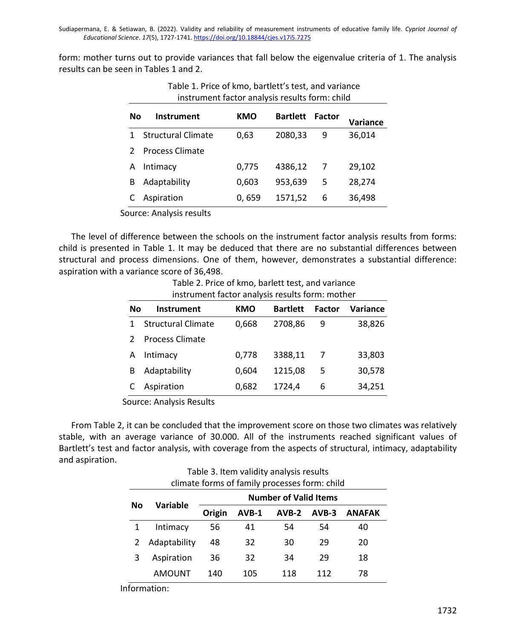form: mother turns out to provide variances that fall below the eigenvalue criteria of 1. The analysis results can be seen in Tables 1 and 2.

| No | <b>Instrument</b>         | <b>KMO</b> | <b>Bartlett</b> | Factor | Variance |  |
|----|---------------------------|------------|-----------------|--------|----------|--|
|    | <b>Structural Climate</b> | 0,63       | 2080,33         | 9      | 36,014   |  |
|    | <b>Process Climate</b>    |            |                 |        |          |  |
| A  | Intimacy                  | 0,775      | 4386,12         | 7      | 29,102   |  |
| в  | Adaptability              | 0,603      | 953,639         | 5      | 28,274   |  |
|    | Aspiration                | 0,659      | 1571,52         | 6      | 36,498   |  |
|    | .                         |            |                 |        |          |  |

Table 1. Price of kmo, bartlett's test, and variance instrument factor analysis results form: child

Source: Analysis results

The level of difference between the schools on the instrument factor analysis results from forms: child is presented in Table 1. It may be deduced that there are no substantial differences between structural and process dimensions. One of them, however, demonstrates a substantial difference: aspiration with a variance score of 36,498.

Table 2. Price of kmo, barlett test, and variance instrument factor analysis results form: mother

| No | Instrument                | KMO   | <b>Bartlett</b> | <b>Factor</b> | Variance |
|----|---------------------------|-------|-----------------|---------------|----------|
|    | <b>Structural Climate</b> | 0,668 | 2708,86         | 9             | 38,826   |
|    | <b>Process Climate</b>    |       |                 |               |          |
| А  | Intimacy                  | 0,778 | 3388,11         |               | 33,803   |
| в  | Adaptability              | 0,604 | 1215,08         | 5             | 30,578   |
|    | Aspiration                | 0,682 | 1724,4          | 6             | 34,251   |

Source: Analysis Results

From Table 2, it can be concluded that the improvement score on those two climates was relatively stable, with an average variance of 30.000. All of the instruments reached significant values of Bartlett's test and factor analysis, with coverage from the aspects of structural, intimacy, adaptability and aspiration.

| rabic 3. Renii valialty analysis resarts<br>climate forms of family processes form: child |              |                              |       |         |         |               |
|-------------------------------------------------------------------------------------------|--------------|------------------------------|-------|---------|---------|---------------|
| No                                                                                        | Variable     | <b>Number of Valid Items</b> |       |         |         |               |
|                                                                                           |              | Origin                       | AVB-1 | $AVB-2$ | $AVB-3$ | <b>ANAFAK</b> |
|                                                                                           | Intimacy     | 56                           | 41    | 54      | 54      | 40            |
| 2                                                                                         | Adaptability | 48                           | 32    | 30      | 29      | 20            |
| 3                                                                                         | Aspiration   | 36                           | 32    | 34      | 29      | 18            |
|                                                                                           | AMOUNT       | 140                          | 105   | 118     | 112     | 78            |

Table 3. Item validity analysis results

Information: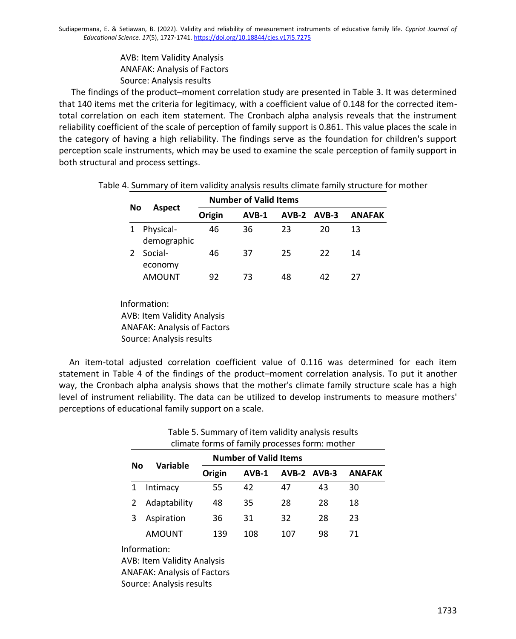AVB: Item Validity Analysis ANAFAK: Analysis of Factors Source: Analysis results

The findings of the product–moment correlation study are presented in Table 3. It was determined that 140 items met the criteria for legitimacy, with a coefficient value of 0.148 for the corrected itemtotal correlation on each item statement. The Cronbach alpha analysis reveals that the instrument reliability coefficient of the scale of perception of family support is 0.861. This value places the scale in the category of having a high reliability. The findings serve as the foundation for children's support perception scale instruments, which may be used to examine the scale perception of family support in both structural and process settings.

|    |                          |        | <b>Number of Valid Items</b> |    |             |               |
|----|--------------------------|--------|------------------------------|----|-------------|---------------|
| No | <b>Aspect</b>            | Origin | $AVB-1$                      |    | AVB-2 AVB-3 | <b>ANAFAK</b> |
|    | Physical-<br>demographic | 46     | 36                           | 23 | 20          | 13            |
|    | Social-<br>economy       | 46     | 37                           | 25 | 22          | 14            |
|    | <b>AMOUNT</b>            | 92     | 73                           | 48 | 42          | 77            |

Table 4. Summary of item validity analysis results climate family structure for mother

Information: AVB: Item Validity Analysis ANAFAK: Analysis of Factors Source: Analysis results

An item-total adjusted correlation coefficient value of 0.116 was determined for each item statement in Table 4 of the findings of the product–moment correlation analysis. To put it another way, the Cronbach alpha analysis shows that the mother's climate family structure scale has a high level of instrument reliability. The data can be utilized to develop instruments to measure mothers' perceptions of educational family support on a scale.

| climate forms of family processes form: mother |               |                              |       |     |             |               |
|------------------------------------------------|---------------|------------------------------|-------|-----|-------------|---------------|
|                                                | Variable      | <b>Number of Valid Items</b> |       |     |             |               |
| No                                             |               | Origin                       | AVB-1 |     | AVB-2 AVB-3 | <b>ANAFAK</b> |
|                                                | Intimacy      | 55                           | 42    | 47  | 43          | 30            |
|                                                | Adaptability  | 48                           | 35    | 28  | 28          | 18            |
|                                                | Aspiration    | 36                           | 31    | 32  | 28          | 23            |
|                                                | <b>AMOUNT</b> | 139                          | 108   | 107 | 98          | 71            |

# Table 5. Summary of item validity analysis results

Information:

AVB: Item Validity Analysis ANAFAK: Analysis of Factors Source: Analysis results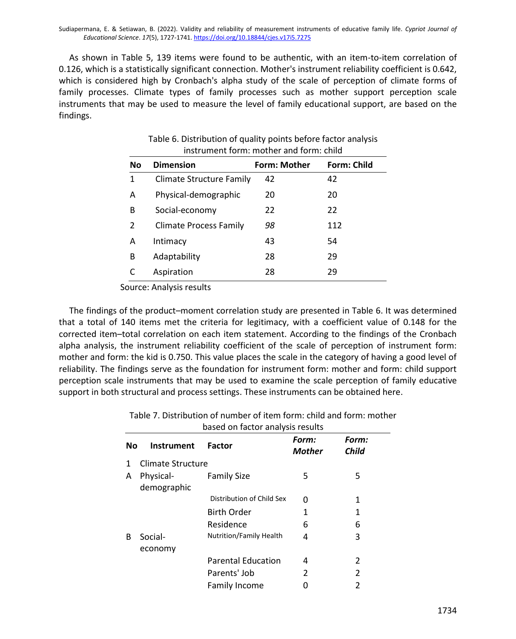As shown in Table 5, 139 items were found to be authentic, with an item-to-item correlation of 0.126, which is a statistically significant connection. Mother's instrument reliability coefficient is 0.642, which is considered high by Cronbach's alpha study of the scale of perception of climate forms of family processes. Climate types of family processes such as mother support perception scale instruments that may be used to measure the level of family educational support, are based on the findings.

| <b>No</b> | <b>Dimension</b>                | Form: Mother | <b>Form: Child</b> |
|-----------|---------------------------------|--------------|--------------------|
| 1         | <b>Climate Structure Family</b> | 42           | 42                 |
| Α         | Physical-demographic            | 20           | 20                 |
| В         | Social-economy                  | 22           | 22                 |
| 2         | <b>Climate Process Family</b>   | 98           | 112                |
| Α         | Intimacy                        | 43           | 54                 |
| в         | Adaptability                    | 28           | 29                 |
|           | Aspiration                      | 28           | 29                 |

| Table 6. Distribution of quality points before factor analysis |  |
|----------------------------------------------------------------|--|
| instrument form: mother and form: child                        |  |

Source: Analysis results

The findings of the product–moment correlation study are presented in Table 6. It was determined that a total of 140 items met the criteria for legitimacy, with a coefficient value of 0.148 for the corrected item–total correlation on each item statement. According to the findings of the Cronbach alpha analysis, the instrument reliability coefficient of the scale of perception of instrument form: mother and form: the kid is 0.750. This value places the scale in the category of having a good level of reliability. The findings serve as the foundation for instrument form: mother and form: child support perception scale instruments that may be used to examine the scale perception of family educative support in both structural and process settings. These instruments can be obtained here.

|    | based on factor analysis results |                                |                        |                |  |  |
|----|----------------------------------|--------------------------------|------------------------|----------------|--|--|
| No | Instrument                       | <b>Factor</b>                  | Form:<br><b>Mother</b> | Form:<br>Child |  |  |
| 1  | Climate Structure                |                                |                        |                |  |  |
| A  | Physical-<br>demographic         | <b>Family Size</b>             | 5                      | 5              |  |  |
|    |                                  | Distribution of Child Sex      | O                      | 1              |  |  |
|    |                                  | <b>Birth Order</b>             | 1                      | 1              |  |  |
|    |                                  | Residence                      | 6                      | 6              |  |  |
| R  | Social-<br>economy               | <b>Nutrition/Family Health</b> | 4                      | 3              |  |  |
|    |                                  | <b>Parental Education</b>      | 4                      | 2              |  |  |
|    |                                  | Parents' Job                   | 2                      | 2              |  |  |
|    |                                  | Family Income                  | U                      | 2              |  |  |

Table 7. Distribution of number of item form: child and form: mother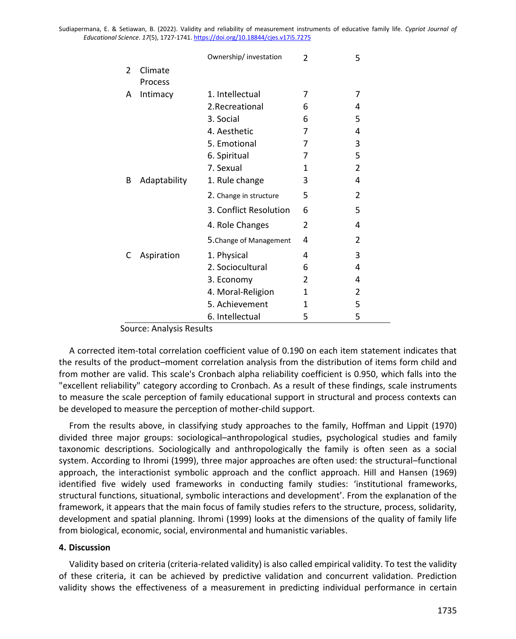|               |              | Ownership/ investation  | $\mathfrak{p}$ | 5              |
|---------------|--------------|-------------------------|----------------|----------------|
| $\mathcal{P}$ | Climate      |                         |                |                |
|               | Process      |                         |                |                |
| A             | Intimacy     | 1. Intellectual         | 7              | 7              |
|               |              | 2. Recreational         | 6              | 4              |
|               |              | 3. Social               | 6              | 5              |
|               |              | 4. Aesthetic            | 7              | 4              |
|               |              | 5. Emotional            | 7              | 3              |
|               |              | 6. Spiritual            | 7              | 5              |
|               |              | 7. Sexual               | 1              | 2              |
| B             | Adaptability | 1. Rule change          | 3              | 4              |
|               |              | 2. Change in structure  | 5              | $\mathfrak{p}$ |
|               |              | 3. Conflict Resolution  | 6              | 5              |
|               |              | 4. Role Changes         | 2              | 4              |
|               |              | 5. Change of Management | 4              | $\overline{2}$ |
| C             | Aspiration   | 1. Physical             | 4              | 3              |
|               |              | 2. Sociocultural        | 6              | 4              |
|               |              | 3. Economy              | 2              | 4              |
|               |              | 4. Moral-Religion       | 1              | 2              |
|               |              | 5. Achievement          | 1              | 5              |
|               |              | 6. Intellectual         | 5              | 5              |

Source: Analysis Results

A corrected item-total correlation coefficient value of 0.190 on each item statement indicates that the results of the product–moment correlation analysis from the distribution of items form child and from mother are valid. This scale's Cronbach alpha reliability coefficient is 0.950, which falls into the "excellent reliability" category according to Cronbach. As a result of these findings, scale instruments to measure the scale perception of family educational support in structural and process contexts can be developed to measure the perception of mother-child support.

From the results above, in classifying study approaches to the family, Hoffman and Lippit (1970) divided three major groups: sociological–anthropological studies, psychological studies and family taxonomic descriptions. Sociologically and anthropologically the family is often seen as a social system. According to Ihromi (1999), three major approaches are often used: the structural–functional approach, the interactionist symbolic approach and the conflict approach. Hill and Hansen (1969) identified five widely used frameworks in conducting family studies: 'institutional frameworks, structural functions, situational, symbolic interactions and development'. From the explanation of the framework, it appears that the main focus of family studies refers to the structure, process, solidarity, development and spatial planning. Ihromi (1999) looks at the dimensions of the quality of family life from biological, economic, social, environmental and humanistic variables.

#### **4. Discussion**

Validity based on criteria (criteria-related validity) is also called empirical validity. To test the validity of these criteria, it can be achieved by predictive validation and concurrent validation. Prediction validity shows the effectiveness of a measurement in predicting individual performance in certain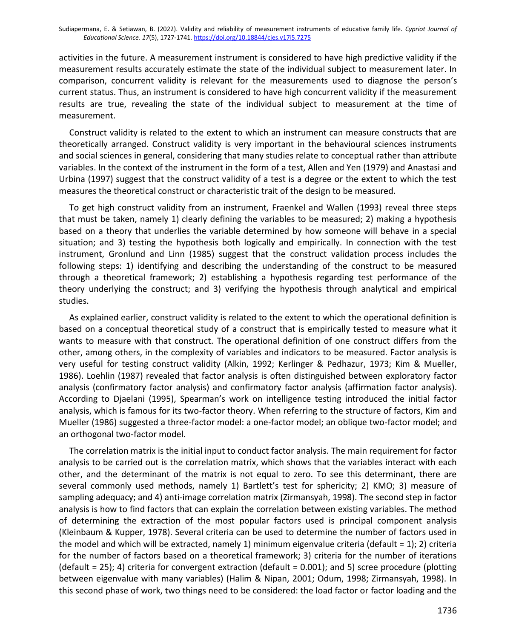activities in the future. A measurement instrument is considered to have high predictive validity if the measurement results accurately estimate the state of the individual subject to measurement later. In comparison, concurrent validity is relevant for the measurements used to diagnose the person's current status. Thus, an instrument is considered to have high concurrent validity if the measurement results are true, revealing the state of the individual subject to measurement at the time of measurement.

Construct validity is related to the extent to which an instrument can measure constructs that are theoretically arranged. Construct validity is very important in the behavioural sciences instruments and social sciences in general, considering that many studies relate to conceptual rather than attribute variables. In the context of the instrument in the form of a test, Allen and Yen (1979) and Anastasi and Urbina (1997) suggest that the construct validity of a test is a degree or the extent to which the test measures the theoretical construct or characteristic trait of the design to be measured.

To get high construct validity from an instrument, Fraenkel and Wallen (1993) reveal three steps that must be taken, namely 1) clearly defining the variables to be measured; 2) making a hypothesis based on a theory that underlies the variable determined by how someone will behave in a special situation; and 3) testing the hypothesis both logically and empirically. In connection with the test instrument, Gronlund and Linn (1985) suggest that the construct validation process includes the following steps: 1) identifying and describing the understanding of the construct to be measured through a theoretical framework; 2) establishing a hypothesis regarding test performance of the theory underlying the construct; and 3) verifying the hypothesis through analytical and empirical studies.

As explained earlier, construct validity is related to the extent to which the operational definition is based on a conceptual theoretical study of a construct that is empirically tested to measure what it wants to measure with that construct. The operational definition of one construct differs from the other, among others, in the complexity of variables and indicators to be measured. Factor analysis is very useful for testing construct validity (Alkin, 1992; Kerlinger & Pedhazur, 1973; Kim & Mueller, 1986). Loehlin (1987) revealed that factor analysis is often distinguished between exploratory factor analysis (confirmatory factor analysis) and confirmatory factor analysis (affirmation factor analysis). According to Djaelani (1995), Spearman's work on intelligence testing introduced the initial factor analysis, which is famous for its two-factor theory. When referring to the structure of factors, Kim and Mueller (1986) suggested a three-factor model: a one-factor model; an oblique two-factor model; and an orthogonal two-factor model.

The correlation matrix is the initial input to conduct factor analysis. The main requirement for factor analysis to be carried out is the correlation matrix, which shows that the variables interact with each other, and the determinant of the matrix is not equal to zero. To see this determinant, there are several commonly used methods, namely 1) Bartlett's test for sphericity; 2) KMO; 3) measure of sampling adequacy; and 4) anti-image correlation matrix (Zirmansyah, 1998). The second step in factor analysis is how to find factors that can explain the correlation between existing variables. The method of determining the extraction of the most popular factors used is principal component analysis (Kleinbaum & Kupper, 1978). Several criteria can be used to determine the number of factors used in the model and which will be extracted, namely 1) minimum eigenvalue criteria (default = 1); 2) criteria for the number of factors based on a theoretical framework; 3) criteria for the number of iterations (default = 25); 4) criteria for convergent extraction (default =  $0.001$ ); and 5) scree procedure (plotting between eigenvalue with many variables) (Halim & Nipan, 2001; Odum, 1998; Zirmansyah, 1998). In this second phase of work, two things need to be considered: the load factor or factor loading and the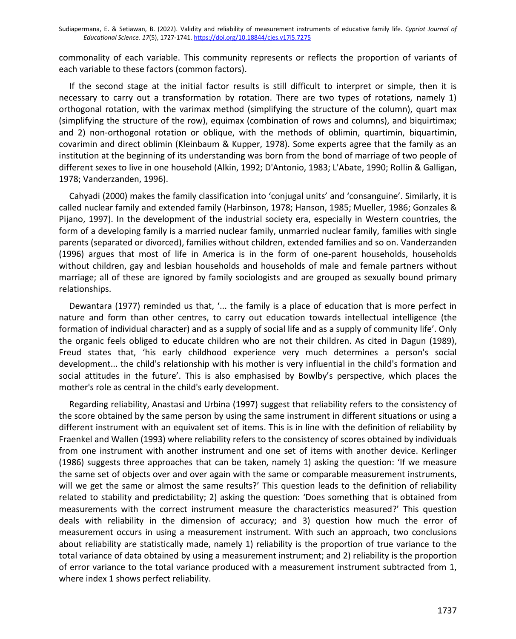commonality of each variable. This community represents or reflects the proportion of variants of each variable to these factors (common factors).

If the second stage at the initial factor results is still difficult to interpret or simple, then it is necessary to carry out a transformation by rotation. There are two types of rotations, namely 1) orthogonal rotation, with the varimax method (simplifying the structure of the column), quart max (simplifying the structure of the row), equimax (combination of rows and columns), and biquirtimax; and 2) non-orthogonal rotation or oblique, with the methods of oblimin, quartimin, biquartimin, covarimin and direct oblimin (Kleinbaum & Kupper, 1978). Some experts agree that the family as an institution at the beginning of its understanding was born from the bond of marriage of two people of different sexes to live in one household (Alkin, 1992; D'Antonio, 1983; L'Abate, 1990; Rollin & Galligan, 1978; Vanderzanden, 1996).

Cahyadi (2000) makes the family classification into 'conjugal units' and 'consanguine'. Similarly, it is called nuclear family and extended family (Harbinson, 1978; Hanson, 1985; Mueller, 1986; Gonzales & Pijano, 1997). In the development of the industrial society era, especially in Western countries, the form of a developing family is a married nuclear family, unmarried nuclear family, families with single parents (separated or divorced), families without children, extended families and so on. Vanderzanden (1996) argues that most of life in America is in the form of one-parent households, households without children, gay and lesbian households and households of male and female partners without marriage; all of these are ignored by family sociologists and are grouped as sexually bound primary relationships.

Dewantara (1977) reminded us that, '... the family is a place of education that is more perfect in nature and form than other centres, to carry out education towards intellectual intelligence (the formation of individual character) and as a supply of social life and as a supply of community life'. Only the organic feels obliged to educate children who are not their children. As cited in Dagun (1989), Freud states that, 'his early childhood experience very much determines a person's social development... the child's relationship with his mother is very influential in the child's formation and social attitudes in the future'. This is also emphasised by Bowlby's perspective, which places the mother's role as central in the child's early development.

Regarding reliability, Anastasi and Urbina (1997) suggest that reliability refers to the consistency of the score obtained by the same person by using the same instrument in different situations or using a different instrument with an equivalent set of items. This is in line with the definition of reliability by Fraenkel and Wallen (1993) where reliability refers to the consistency of scores obtained by individuals from one instrument with another instrument and one set of items with another device. Kerlinger (1986) suggests three approaches that can be taken, namely 1) asking the question: 'If we measure the same set of objects over and over again with the same or comparable measurement instruments, will we get the same or almost the same results?' This question leads to the definition of reliability related to stability and predictability; 2) asking the question: 'Does something that is obtained from measurements with the correct instrument measure the characteristics measured?' This question deals with reliability in the dimension of accuracy; and 3) question how much the error of measurement occurs in using a measurement instrument. With such an approach, two conclusions about reliability are statistically made, namely 1) reliability is the proportion of true variance to the total variance of data obtained by using a measurement instrument; and 2) reliability is the proportion of error variance to the total variance produced with a measurement instrument subtracted from 1, where index 1 shows perfect reliability.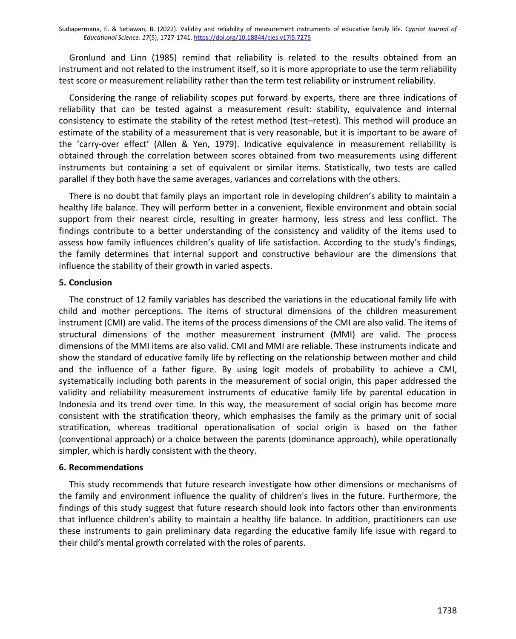Gronlund and Linn (1985) remind that reliability is related to the results obtained from an instrument and not related to the instrument itself, so it is more appropriate to use the term reliability test score or measurement reliability rather than the term test reliability or instrument reliability.

Considering the range of reliability scopes put forward by experts, there are three indications of reliability that can be tested against a measurement result: stability, equivalence and internal consistency to estimate the stability of the retest method (test–retest). This method will produce an estimate of the stability of a measurement that is very reasonable, but it is important to be aware of the 'carry-over effect' (Allen & Yen, 1979). Indicative equivalence in measurement reliability is obtained through the correlation between scores obtained from two measurements using different instruments but containing a set of equivalent or similar items. Statistically, two tests are called parallel if they both have the same averages, variances and correlations with the others.

There is no doubt that family plays an important role in developing children's ability to maintain a healthy life balance. They will perform better in a convenient, flexible environment and obtain social support from their nearest circle, resulting in greater harmony, less stress and less conflict. The findings contribute to a better understanding of the consistency and validity of the items used to assess how family influences children's quality of life satisfaction. According to the study's findings, the family determines that internal support and constructive behaviour are the dimensions that influence the stability of their growth in varied aspects.

### **5. Conclusion**

The construct of 12 family variables has described the variations in the educational family life with child and mother perceptions. The items of structural dimensions of the children measurement instrument (CMI) are valid. The items of the process dimensions of the CMI are also valid. The items of structural dimensions of the mother measurement instrument (MMI) are valid. The process dimensions of the MMI items are also valid. CMI and MMI are reliable. These instruments indicate and show the standard of educative family life by reflecting on the relationship between mother and child and the influence of a father figure. By using logit models of probability to achieve a CMI, systematically including both parents in the measurement of social origin, this paper addressed the validity and reliability measurement instruments of educative family life by parental education in Indonesia and its trend over time. In this way, the measurement of social origin has become more consistent with the stratification theory, which emphasises the family as the primary unit of social stratification, whereas traditional operationalisation of social origin is based on the father (conventional approach) or a choice between the parents (dominance approach), while operationally simpler, which is hardly consistent with the theory.

#### **6. Recommendations**

This study recommends that future research investigate how other dimensions or mechanisms of the family and environment influence the quality of children's lives in the future. Furthermore, the findings of this study suggest that future research should look into factors other than environments that influence children's ability to maintain a healthy life balance. In addition, practitioners can use these instruments to gain preliminary data regarding the educative family life issue with regard to their child's mental growth correlated with the roles of parents.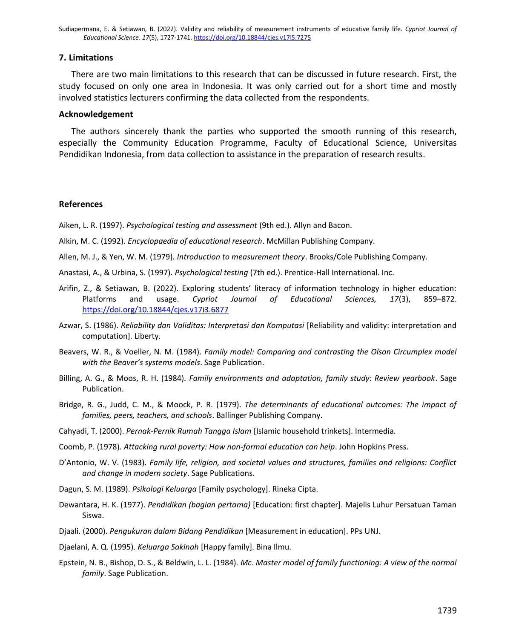#### **7. Limitations**

There are two main limitations to this research that can be discussed in future research. First, the study focused on only one area in Indonesia. It was only carried out for a short time and mostly involved statistics lecturers confirming the data collected from the respondents.

#### **Acknowledgement**

The authors sincerely thank the parties who supported the smooth running of this research, especially the Community Education Programme, Faculty of Educational Science, Universitas Pendidikan Indonesia, from data collection to assistance in the preparation of research results.

#### **References**

Aiken, L. R. (1997). *Psychological testing and assessment* (9th ed.). Allyn and Bacon.

Alkin, M. C. (1992). *Encyclopaedia of educational research*. McMillan Publishing Company.

- Allen, M. J., & Yen, W. M. (1979). *Introduction to measurement theory*. Brooks/Cole Publishing Company.
- Anastasi, A., & Urbina, S. (1997). *Psychological testing* (7th ed.). Prentice-Hall International. Inc.
- Arifin, Z., & Setiawan, B. (2022). Exploring students' literacy of information technology in higher education: Platforms and usage. *Cypriot Journal of Educational Sciences, 17*(3), 859–872. <https://doi.org/10.18844/cjes.v17i3.6877>
- Azwar, S. (1986). *Reliability dan Validitas: Interpretasi dan Komputasi* [Reliability and validity: interpretation and computation]. Liberty.
- Beavers, W. R., & Voeller, N. M. (1984). *Family model: Comparing and contrasting the Olson Circumplex model with the Beaver's systems models*. Sage Publication.
- Billing, A. G., & Moos, R. H. (1984). *Family environments and adaptation, family study: Review yearbook*. Sage Publication.
- Bridge, R. G., Judd, C. M., & Moock, P. R. (1979). *The determinants of educational outcomes: The impact of families, peers, teachers, and schools*. Ballinger Publishing Company.
- Cahyadi, T. (2000). *Pernak-Pernik Rumah Tangga Islam* [Islamic household trinkets]. Intermedia.
- Coomb, P. (1978). *Attacking rural poverty: How non-formal education can help*. John Hopkins Press.
- D'Antonio, W. V. (1983). *Family life, religion, and societal values and structures, families and religions: Conflict and change in modern society*. Sage Publications.
- Dagun, S. M. (1989). *Psikologi Keluarga* [Family psychology]. Rineka Cipta.
- Dewantara, H. K. (1977). *Pendidikan (bagian pertama)* [Education: first chapter]. Majelis Luhur Persatuan Taman Siswa.
- Djaali. (2000). *Pengukuran dalam Bidang Pendidikan* [Measurement in education]. PPs UNJ.
- Djaelani, A. Q. (1995). *Keluarga Sakinah* [Happy family]. Bina Ilmu.
- Epstein, N. B., Bishop, D. S., & Beldwin, L. L. (1984). *Mc. Master model of family functioning: A view of the normal family*. Sage Publication.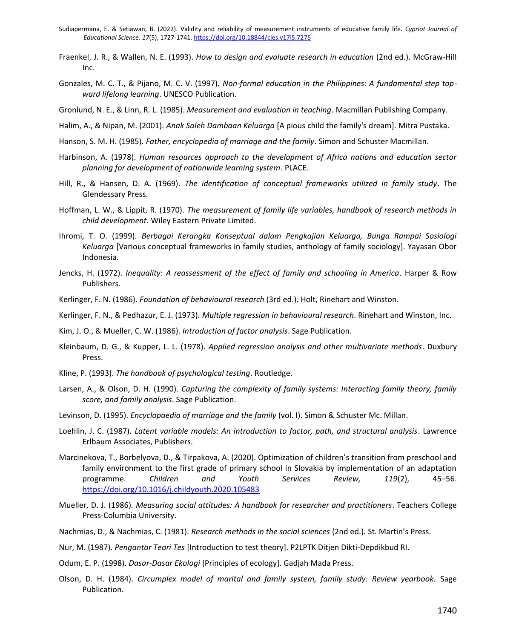- Sudiapermana, E. & Setiawan, B. (2022). Validity and reliability of measurement instruments of educative family life. *Cypriot Journal of Educational Science*. *17*(5), 1727-1741. <https://doi.org/10.18844/cjes.v17i5.7275>
- Fraenkel, J. R., & Wallen, N. E. (1993). *How to design and evaluate research in education* (2nd ed.). McGraw-Hill Inc.
- Gonzales, M. C. T., & Pijano, M. C. V. (1997). *Non-formal education in the Philippines: A fundamental step topward lifelong learning*. UNESCO Publication.
- Gronlund, N. E., & Linn, R. L. (1985). *Measurement and evaluation in teaching*. Macmillan Publishing Company.
- Halim, A., & Nipan, M. (2001). *Anak Saleh Dambaan Keluarga* [A pious child the family's dream]. Mitra Pustaka.
- Hanson, S. M. H. (1985). *Father, encyclopedia of marriage and the family*. Simon and Schuster Macmillan.
- Harbinson, A. (1978). *Human resources approach to the development of Africa nations and education sector planning for development of nationwide learning system*. PLACE.
- Hill, R., & Hansen, D. A. (1969). *The identification of conceptual frameworks utilized in family study*. The Glendessary Press.
- Hoffman, L. W., & Lippit, R. (1970). *The measurement of family life variables, handbook of research methods in child development*. Wiley Eastern Private Limited.
- Ihromi, T. O. (1999). *Berbagai Kerangka Konseptual dalam Pengkajian Keluarga, Bunga Rampai Sosiologi Keluarga* [Various conceptual frameworks in family studies, anthology of family sociology]. Yayasan Obor Indonesia.
- Jencks, H. (1972). *Inequality: A reassessment of the effect of family and schooling in America*. Harper & Row Publishers.
- Kerlinger, F. N. (1986). *Foundation of behavioural research* (3rd ed.). Holt, Rinehart and Winston.
- Kerlinger, F. N., & Pedhazur, E. J. (1973). *Multiple regression in behavioural research*. Rinehart and Winston, Inc.
- Kim, J. O., & Mueller, C. W. (1986). *Introduction of factor analysis*. Sage Publication.
- Kleinbaum, D. G., & Kupper, L. L. (1978). *Applied regression analysis and other multivariate methods*. Duxbury Press.
- Kline, P. (1993). *The handbook of psychological testing*. Routledge.
- Larsen, A., & Olson, D. H. (1990). *Capturing the complexity of family systems: Interacting family theory, family score, and family analysis*. Sage Publication.
- Levinson, D. (1995). *Encyclopaedia of marriage and the family* (vol. I). Simon & Schuster Mc. Millan.
- Loehlin, J. C. (1987). *Latent variable models: An introduction to factor, path, and structural analysis*. Lawrence Erlbaum Associates, Publishers.
- Marcinekova, T., Borbelyova, D., & Tirpakova, A. (2020). Optimization of children's transition from preschool and family environment to the first grade of primary school in Slovakia by implementation of an adaptation programme. *Children and Youth Services Review, 119*(2), 45–56. <https://doi.org/10.1016/j.childyouth.2020.105483>
- Mueller, D. J. (1986)*. Measuring social attitudes: A handbook for researcher and practitioners*. Teachers College Press-Columbia University.
- Nachmias, D., & Nachmias, C. (1981). *Research methods in the social sciences* (2nd ed.)*.* St. Martin's Press.
- Nur, M. (1987). *Pengantar Teori Tes* [Introduction to test theory]. P2LPTK Ditjen Dikti-Depdikbud RI.
- Odum, E. P. (1998). *Dasar-Dasar Ekologi* [Principles of ecology]. Gadjah Mada Press.
- Olson, D. H. (1984). *Circumplex model of marital and family system, family study: Review yearbook.* Sage Publication.